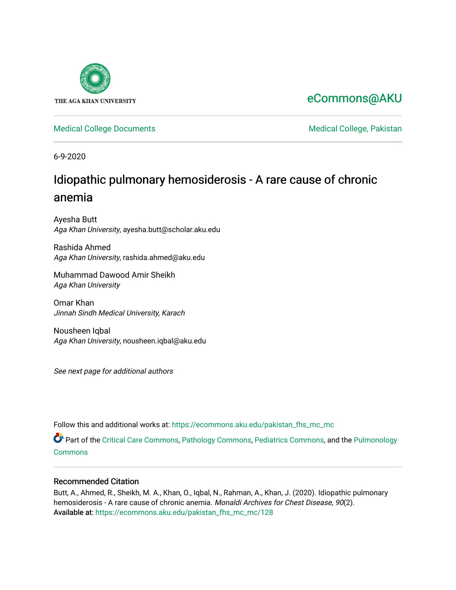

# [eCommons@AKU](https://ecommons.aku.edu/)

[Medical College Documents](https://ecommons.aku.edu/pakistan_fhs_mc_mc) **Medical College, Pakistan** 

6-9-2020

# Idiopathic pulmonary hemosiderosis - A rare cause of chronic anemia

Ayesha Butt Aga Khan University, ayesha.butt@scholar.aku.edu

Rashida Ahmed Aga Khan University, rashida.ahmed@aku.edu

Muhammad Dawood Amir Sheikh Aga Khan University

Omar Khan Jinnah Sindh Medical University, Karach

Nousheen Iqbal Aga Khan University, nousheen.iqbal@aku.edu

See next page for additional authors

Follow this and additional works at: [https://ecommons.aku.edu/pakistan\\_fhs\\_mc\\_mc](https://ecommons.aku.edu/pakistan_fhs_mc_mc?utm_source=ecommons.aku.edu%2Fpakistan_fhs_mc_mc%2F128&utm_medium=PDF&utm_campaign=PDFCoverPages) 

Part of the [Critical Care Commons,](http://network.bepress.com/hgg/discipline/1226?utm_source=ecommons.aku.edu%2Fpakistan_fhs_mc_mc%2F128&utm_medium=PDF&utm_campaign=PDFCoverPages) [Pathology Commons,](http://network.bepress.com/hgg/discipline/699?utm_source=ecommons.aku.edu%2Fpakistan_fhs_mc_mc%2F128&utm_medium=PDF&utm_campaign=PDFCoverPages) [Pediatrics Commons](http://network.bepress.com/hgg/discipline/700?utm_source=ecommons.aku.edu%2Fpakistan_fhs_mc_mc%2F128&utm_medium=PDF&utm_campaign=PDFCoverPages), and the [Pulmonology](http://network.bepress.com/hgg/discipline/1363?utm_source=ecommons.aku.edu%2Fpakistan_fhs_mc_mc%2F128&utm_medium=PDF&utm_campaign=PDFCoverPages)  **[Commons](http://network.bepress.com/hgg/discipline/1363?utm_source=ecommons.aku.edu%2Fpakistan_fhs_mc_mc%2F128&utm_medium=PDF&utm_campaign=PDFCoverPages)** 

# Recommended Citation

Butt, A., Ahmed, R., Sheikh, M. A., Khan, O., Iqbal, N., Rahman, A., Khan, J. (2020). Idiopathic pulmonary hemosiderosis - A rare cause of chronic anemia. Monaldi Archives for Chest Disease, 90(2). Available at: [https://ecommons.aku.edu/pakistan\\_fhs\\_mc\\_mc/128](https://ecommons.aku.edu/pakistan_fhs_mc_mc/128)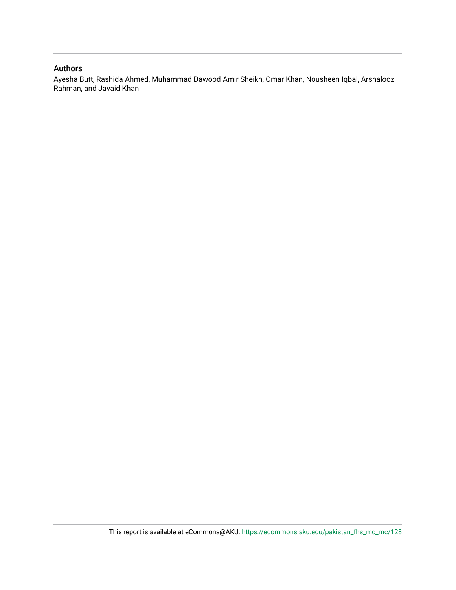# Authors

Ayesha Butt, Rashida Ahmed, Muhammad Dawood Amir Sheikh, Omar Khan, Nousheen Iqbal, Arshalooz Rahman, and Javaid Khan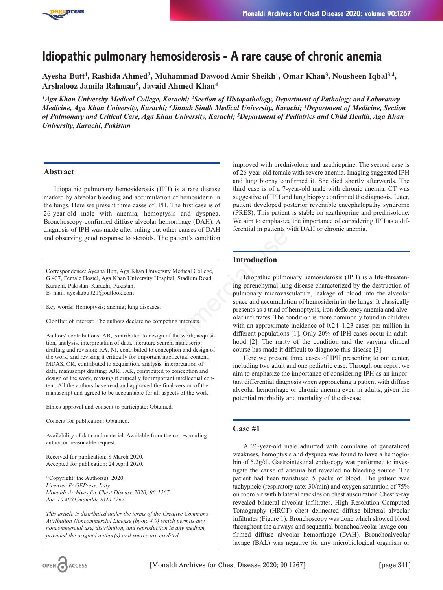

# **Idiopathic pulmonary hemosiderosis - A rare cause of chronic anemia**

**Ayesha Butt1, Rashida Ahmed2, Muhammad Dawood Amir Sheikh1, Omar Khan3, Nousheen Iqbal3,4, Arshalooz Jamila Rahman5, Javaid Ahmed Khan4**

*1Aga Khan University Medical College, Karachi; 2Section of Histopathology, Department of Pathology and Laboratory Medicine, Aga Khan University, Karachi; 3Jinnah Sindh Medical University, Karachi; 4Department of Medicine, Section of Pulmonary and Critical Care, Aga Khan University, Karachi; 5Department of Pediatrics and Child Health, Aga Khan University, Karachi, Pakistan*

#### **Abstract**

Idiopathic pulmonary hemosiderosis (IPH) is a rare disease marked by alveolar bleeding and accumulation of hemosiderin in the lungs. Here we present three cases of IPH. The first case is of 26-year-old male with anemia, hemoptysis and dyspnea. Bronchoscopy confirmed diffuse alveolar hemorrhage (DAH). A diagnosis of IPH was made after ruling out other causes of DAH and observing good response to steroids. The patient's condition

Correspondence: Ayesha Butt, Aga Khan University Medical College, G.407, Female Hostel, Aga Khan University Hospital, Stadium Road, Karachi, Pakistan. Karachi, Pakistan. E- mail: ayeshabutt21@outlook.com

Key words: Hemoptysis; anemia; lung diseases.

Clonflict of interest: The authors declare no competing interests.

Authors' contributions: AB, contributed to design of the work; acquisition, analysis, interpretation of data, literature search, manuscript drafting and revision; RA, NI, contributed to conception and design of the work, and revising it critically for important intellectual content; MDAS, OK, contributed to acquisition, analysis, interpretation of data, manuscript drafting; AJR, JAK, contributed to conception and design of the work, revising it critically for important intellectual content. All the authors have read and approved the final version of the manuscript and agreed to be accountable for all aspects of the work.

Ethics approval and consent to participate: Obtained.

Consent for publication: Obtained.

Availability of data and material: Available from the corresponding author on reasonable request.

Received for publication: 8 March 2020. Accepted for publication: 24 April 2020.

©Copyright: the Author(s), 2020 *Licensee PAGEPress, Italy Monaldi Archives for Chest Disease 2020; 90:1267 doi: 10.4081/monaldi.2020.1267*

*This article is distributed under the terms of the Creative Commons Attribution Noncommercial License (by-nc 4.0) which permits any noncommercial use, distribution, and reproduction in any medium, provided the original author(s) and source are credited.*

improved with prednisolone and azathioprine. The second case is of 26-year-old female with severe anemia. Imaging suggested IPH and lung biopsy confirmed it. She died shortly afterwards. The third case is of a 7-year-old male with chronic anemia. CT was suggestive of IPH and lung biopsy confirmed the diagnosis. Later, patient developed posterior reversible encephalopathy syndrome (PRES). This patient is stable on azathioprine and prednisolone. We aim to emphasize the importance of considering IPH as a differential in patients with DAH or chronic anemia.

## **Introduction**

Idiopathic pulmonary hemosiderosis (IPH) is a life-threatening parenchymal lung disease characterized by the destruction of pulmonary microvasculature, leakage of blood into the alveolar space and accumulation of hemosiderin in the lungs. It classically presents as a triad of hemoptysis, iron deficiency anemia and alveolar infiltrates. The condition is more commonly found in children with an approximate incidence of 0.24–1.23 cases per million in different populations [1]. Only 20% of IPH cases occur in adulthood [2]. The rarity of the condition and the varying clinical course has made it difficult to diagnose this disease [3]. Magnetics and interests of the morphisis and accumulation of hemosiderin in suggestive of IPH and lung biopsy coft three cases of IPH. The first case is of patient developed posterior reversible and aditive alternal in pat

Here we present three cases of IPH presenting to our center, including two adult and one pediatric case. Through our report we aim to emphasize the importance of considering IPH as an important differential diagnosis when approaching a patient with diffuse alveolar hemorrhage or chronic anemia even in adults, given the potential morbidity and mortality of the disease.

# **Case #1**

A 26-year-old male admitted with complains of generalized weakness, hemoptysis and dyspnea was found to have a hemoglobin of 5.2g/dl. Gastrointestinal endoscopy was performed to investigate the cause of anemia but revealed no bleeding source. The patient had been transfused 5 packs of blood. The patient was tachypneic (respiratory rate: 30/min) and oxygen saturation of 75% on room air with bilateral crackles on chest auscultation Chest x-ray revealed bilateral alveolar infiltrates. High Resolution Computed Tomography (HRCT) chest delineated diffuse bilateral alveolar infiltrates (Figure 1). Bronchoscopy was done which showed blood throughout the airways and sequential bronchoalveolar lavage confirmed diffuse alveolar hemorrhage (DAH). Bronchoalveolar lavage (BAL) was negative for any microbiological organism or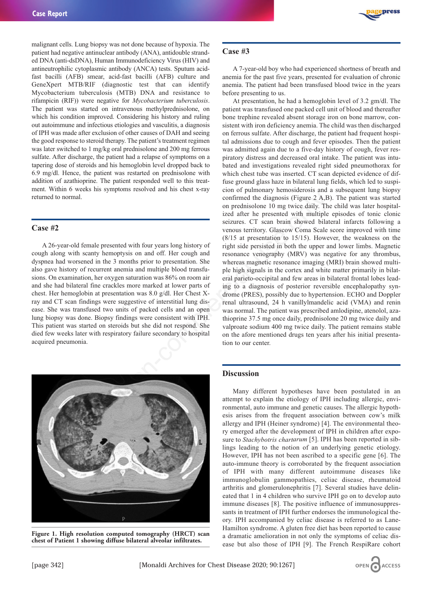malignant cells. Lung biopsy was not done because of hypoxia. The patient had negative antinuclear antibody (ANA), antidouble stranded DNA (anti-dsDNA), Human Immunodeficiency Virus (HIV) and antineutrophilic cytoplasmic antibody (ANCA) tests. Sputum acidfast bacilli (AFB) smear, acid-fast bacilli (AFB) culture and GeneXpert MTB/RIF (diagnostic test that can identify Mycobacterium tuberculosis (MTB) DNA and resistance to rifampicin (RIF)) were negative for *Mycobacterium tuberculosis*. The patient was started on intravenous methylprednisolone, on which his condition improved. Considering his history and ruling out autoimmune and infectious etiologies and vasculitis, a diagnosis of IPH was made after exclusion of other causes of DAH and seeing the good response to steroid therapy. The patient's treatment regimen was later switched to 1 mg/kg oral prednisolone and 200 mg ferrous sulfate. After discharge, the patient had a relapse of symptoms on a tapering dose of steroids and his hemoglobin level dropped back to 6.9 mg/dl. Hence, the patient was restarted on prednisolone with addition of azathioprine. The patient responded well to this treatment. Within 6 weeks his symptoms resolved and his chest x-ray returned to normal.

#### **Case #2**

A 26-year-old female presented with four years long history of cough along with scanty hemoptysis on and off. Her cough and dyspnea had worsened in the 3 months prior to presentation. She also gave history of recurrent anemia and multiple blood transfusions. On examination, her oxygen saturation was 86% on room air and she had bilateral fine crackles more marked at lower parts of chest. Her hemoglobin at presentation was 8.0 g/dl. Her Chest Xray and CT scan findings were suggestive of interstitial lung disease. She was transfused two units of packed cells and an open lung biopsy was done. Biopsy findings were consistent with IPH. This patient was started on steroids but she did not respond. She died few weeks later with respiratory failure secondary to hospital acquired pneumonia.



**Figure 1. High resolution computed tomography (HRCT) scan chest of Patient 1 showing diffuse bilateral alveolar infiltrates.**



#### **Case #3**

A 7-year-old boy who had experienced shortness of breath and anemia for the past five years, presented for evaluation of chronic anemia. The patient had been transfused blood twice in the years before presenting to us.

At presentation, he had a hemoglobin level of 3.2 gm/dl. The patient was transfused one packed cell unit of blood and thereafter bone trephine revealed absent storage iron on bone marrow, consistent with iron deficiency anemia. The child was then discharged on ferrous sulfate. After discharge, the patient had frequent hospital admissions due to cough and fever episodes. Then the patient was admitted again due to a five-day history of cough, fever respiratory distress and decreased oral intake. The patient was intubated and investigations revealed right sided pneumothorax for which chest tube was inserted. CT scan depicted evidence of diffuse ground glass haze in bilateral lung fields, which led to suspicion of pulmonary hemosiderosis and a subsequent lung biopsy confirmed the diagnosis (Figure 2 A,B). The patient was started on prednisolone 10 mg twice daily. The child was later hospitalized after he presented with multiple episodes of tonic clonic seizures. CT scan brain showed bilateral infarcts following a venous territory. Glascow Coma Scale score improved with time (8/15 at presentation to 15/15). However, the weakness on the right side persisted in both the upper and lower limbs. Magnetic resonance venography (MRV) was negative for any thrombus, whereas magnetic resonance imaging (MRI) brain showed multiple high signals in the cortex and white matter primarily in bilateral parieto-occipital and few areas in bilateral frontal lobes leading to a diagnosis of posterior reversible encephalopathy syndrome (PRES), possibly due to hypertension. ECHO and Doppler renal ultrasound, 24 h vanillylmandelic acid (VMA) and renin was normal. The patient was prescribed amlodipine, atenolol, azathioprine 37.5 mg once daily, prednisolone 20 mg twice daily and valproate sodium 400 mg twice daily. The patient remains stable on the afore mentioned drugs ten years after his initial presentation to our center. Confirmed the diagnosis (Figure 2 A,B)<br>
confirmed the diagnosis (Figure 2 A,B)<br>
on prednisolone 10 mg twice daily. The<br>
seizures. CT scan brain showed bilat<br>
verous territory. Glascow Coma Scale<br>
neted with four years long

#### **Discussion**

Many different hypotheses have been postulated in an attempt to explain the etiology of IPH including allergic, environmental, auto immune and genetic causes. The allergic hypothesis arises from the frequent association between cow's milk allergy and IPH (Heiner syndrome) [4]. The environmental theory emerged after the development of IPH in children after exposure to *Stachybotris chartarum* [5]. IPH has been reported in siblings leading to the notion of an underlying genetic etiology. However, IPH has not been ascribed to a specific gene [6]. The auto-immune theory is corroborated by the frequent association of IPH with many different autoimmune diseases like immunoglobulin gammopathies, celiac disease, rheumatoid arthritis and glomerulonephritis [7]. Several studies have delineated that 1 in 4 children who survive IPH go on to develop auto immune diseases [8]. The positive influence of immunosuppressants in treatment of IPH further endorses the immunological theory. IPH accompanied by celiac disease is referred to as Lane-Hamilton syndrome. A gluten free diet has been reported to cause a dramatic amelioration in not only the symptoms of celiac disease but also those of IPH [9]. The French RespiRare cohort

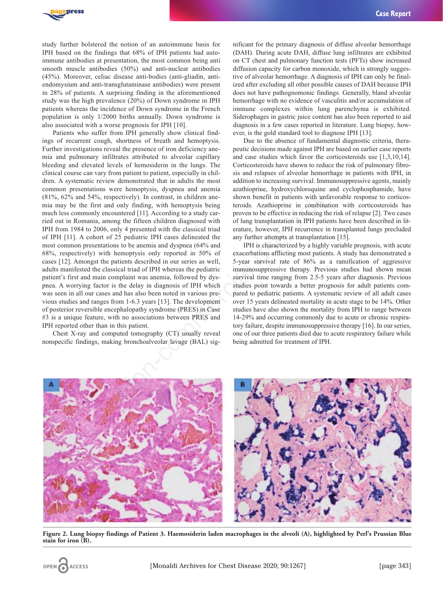

study further bolstered the notion of an autoimmune basis for IPH based on the findings that 68% of IPH patients had autoimmune antibodies at presentation, the most common being anti smooth muscle antibodies (50%) and anti-nuclear antibodies (45%). Moreover, celiac disease anti-bodies (anti-gliadin, antiendomysium and anti-transglutaminase antibodies) were present in 28% of patients. A surprising finding in the aforementioned study was the high prevalence (20%) of Down syndrome in IPH patients whereas the incidence of Down syndrome in the French population is only 1/2000 births annually. Down syndrome is also associated with a worse prognosis for IPH [10].

Patients who suffer from IPH generally show clinical findings of recurrent cough, shortness of breath and hemoptysis. Further investigations reveal the presence of iron deficiency anemia and pulmonary infiltrates attributed to alveolar capillary bleeding and elevated levels of hemosiderin in the lungs. The clinical course can vary from patient to patient, especially in children. A systematic review demonstrated that in adults the most common presentations were hemoptysis, dyspnea and anemia (81%, 62% and 54%, respectively). In contrast, in children anemia may be the first and only finding, with hemoptysis being much less commonly encountered [11]. According to a study carried out in Romania, among the fifteen children diagnosed with IPH from 1984 to 2006, only 4 presented with the classical triad of IPH [11]. A cohort of 25 pediatric IPH cases delineated the most common presentations to be anemia and dyspnea (64% and 68%, respectively) with hemoptysis only reported in 50% of cases [12]. Amongst the patients described in our series as well, adults manifested the classical triad of IPH whereas the pediatric patient's first and main complaint was anemia, followed by dyspnea. A worrying factor is the delay in diagnosis of IPH which was seen in all our cases and has also been noted in various previous studies and ranges from 1-6.3 years [13]. The development of posterior reversible encephalopathy syndrome (PRES) in Case #3 is a unique feature, with no associations between PRES and IPH reported other than in this patient. ectively). In contrast, in children ane-<br>
shown benefit in patients with unfa<br>
only finding, with hemoptysis being<br>
untered (11). According to a study car-<br>
proven to be effective in educing the<br>
intered (11) According to

Chest X-ray and computed tomography (CT) usually reveal nonspecific findings, making bronchoalveolar lavage (BAL) sig-

nificant for the primary diagnosis of diffuse alveolar hemorrhage (DAH). During acute DAH, diffuse lung infiltrates are exhibited on CT chest and pulmonary function tests (PFTs) show increased diffusion capacity for carbon monoxide, which is strongly suggestive of alveolar hemorrhage. A diagnosis of IPH can only be finalized after excluding all other possible causes of DAH because IPH does not have pathognomonic findings. Generally, bland alveolar hemorrhage with no evidence of vasculitis and/or accumulation of immune complexes within lung parenchyma is exhibited. Siderophages in gastric juice content has also been reported to aid diagnosis in a few cases reported in literature. Lung biopsy, however, is the gold standard tool to diagnose IPH [13].

Due to the absence of fundamental diagnostic criteria, therapeutic decisions made against IPH are based on earlier case reports and case studies which favor the corticosteroids use [1,3,10,14]. Corticosteroids have shown to reduce the risk of pulmonary fibrosis and relapses of alveolar hemorrhage in patients with IPH, in addition to increasing survival. Immunosuppressive agents, mainly azathioprine, hydroxychloroquine and cyclophosphamide, have shown benefit in patients with unfavorable response to corticosteroids. Azathioprine in combination with corticosteroids has proven to be effective in reducing the risk of relapse [2]. Two cases of lung transplantation in IPH patients have been described in literature, however, IPH recurrence in transplanted lungs precluded any further attempts at transplantation [15].

IPH is characterized by a highly variable prognosis, with acute exacerbations afflicting most patients. A study has demonstrated a 5-year survival rate of 86% as a ramification of aggressive immunosuppressive therapy. Previous studies had shown mean survival time ranging from 2.5-5 years after diagnosis. Previous studies point towards a better prognosis for adult patients compared to pediatric patients. A systematic review of all adult cases over 15 years delineated mortality in acute stage to be 14%. Other studies have also shown the mortality from IPH to range between 14-29% and occurring commonly due to acute or chronic respiratory failure, despite immunosuppressive therapy [16]. In our series, one of our three patients died due to acute respiratory failure while being admitted for treatment of IPH.



**Figure 2. Lung biopsy findings of Patient 3. Haemosiderin laden macrophages in the alveoli (A), highlighted by Perl's Prussian Blue stain for iron (B).**